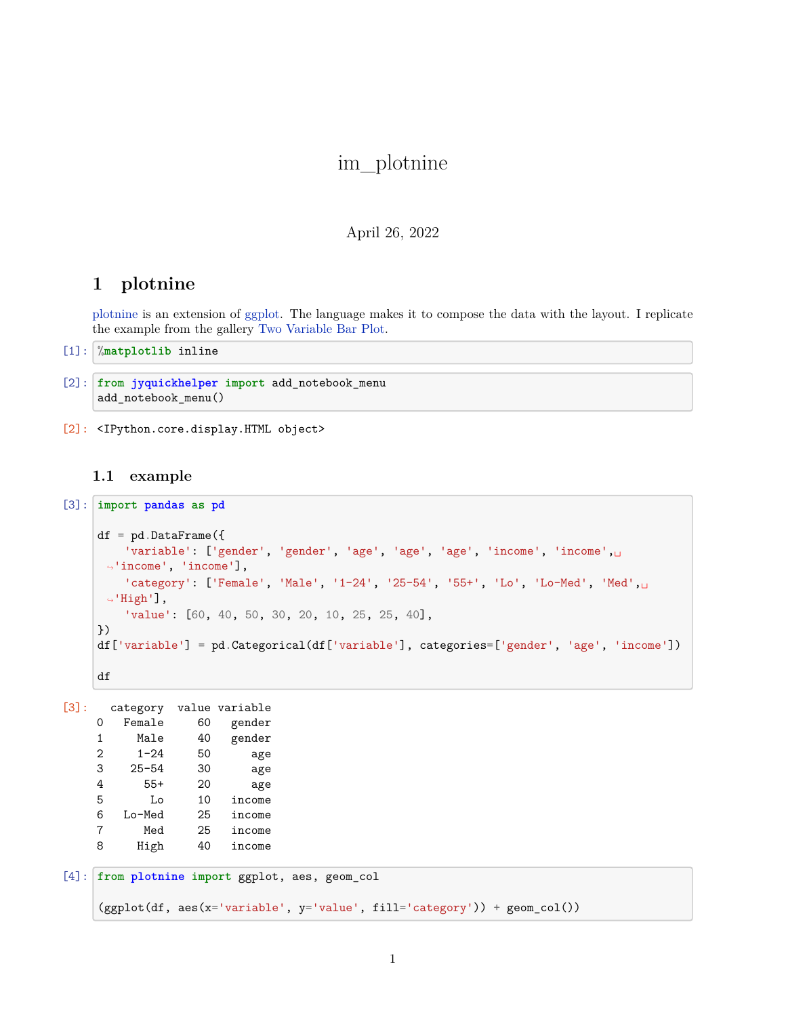# im\_plotnine

#### April 26, 2022

## **1 plotnine**

[plotnine](http://plotnine.readthedocs.io/en/stable/) is an extension of [ggplot.](http://ggplot.yhathq.com/) The language makes it to compose the data with the layout. I replicate the example from the gallery [Two Variable Bar Plot.](http://plotnine.readthedocs.io/en/stable/generated/plotnine.geoms.geom_col.html#two-variable-bar-plot)

[1]: %**matplotlib** inline

```
[2]: from jyquickhelper import add_notebook_menu
     add_notebook_menu()
```
[2]: <IPython.core.display.HTML object>

### **1.1 example**

```
[3]: import pandas as pd
     df = pd.DataFrame({}'variable': ['gender', 'gender', 'age', 'age', 'age', 'income', 'income',␣
      ↪'income', 'income'],
         l'category' : [ 'Female', 'Male', '1-24', '25-54', '55+', 'Lo', 'Lo-Med', 'Med', ... ]\rightarrow'High'],
         'value': [60, 40, 50, 30, 20, 10, 25, 25, 40],
     })
     df['variable'] = pd.Categorical(df['variable'], categories=['gender', 'age', 'income'])
     df
```

```
[3]: category value variable
   0 Female 60 gender
   1 Male 40 gender
   2 1-24 50 age
   3 25-54 30 age
   4 55+ 20 age
   5 Lo 10 income
   6 Lo-Med 25 income
   7 Med 25 income
   8 High 40 income
[4]: from plotnine import ggplot, aes, geom_col
```

```
(ggplot(df, aes(x='variable', y='value', fill='category')) + geom_col())
```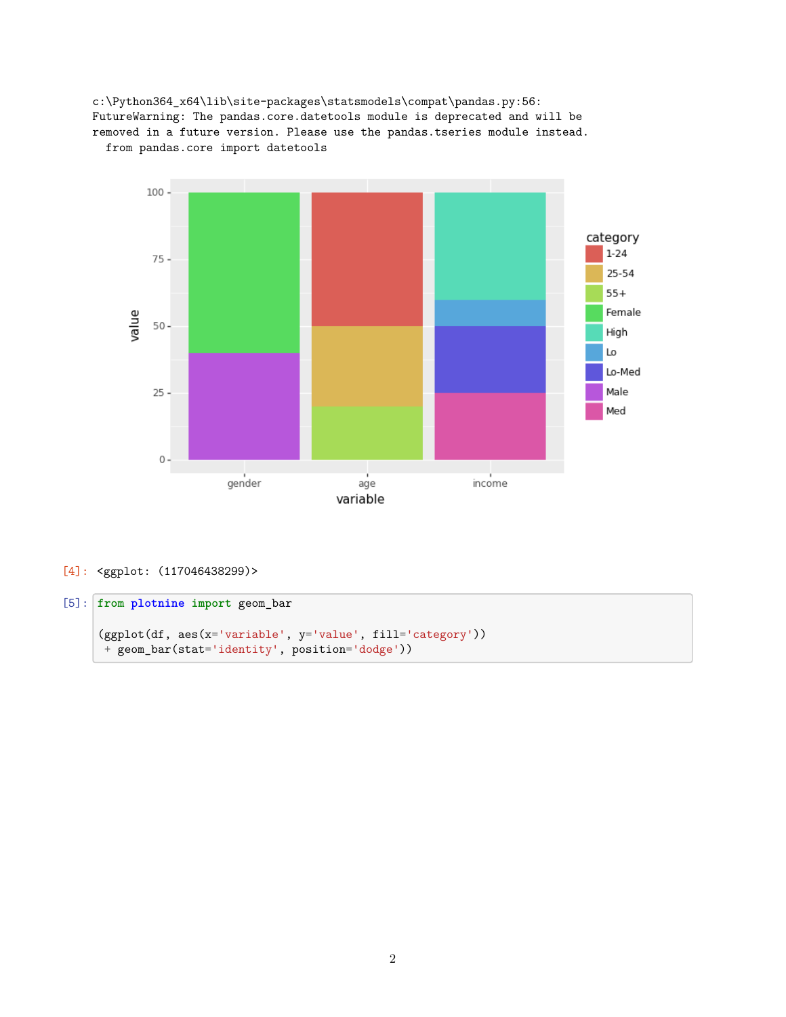



[4]: <ggplot: (117046438299)>

### [5]: **from plotnine import** geom\_bar

```
(ggplot(df, aes(x='variable', y='value', fill='category'))
+ geom_bar(stat='identity', position='dodge'))
```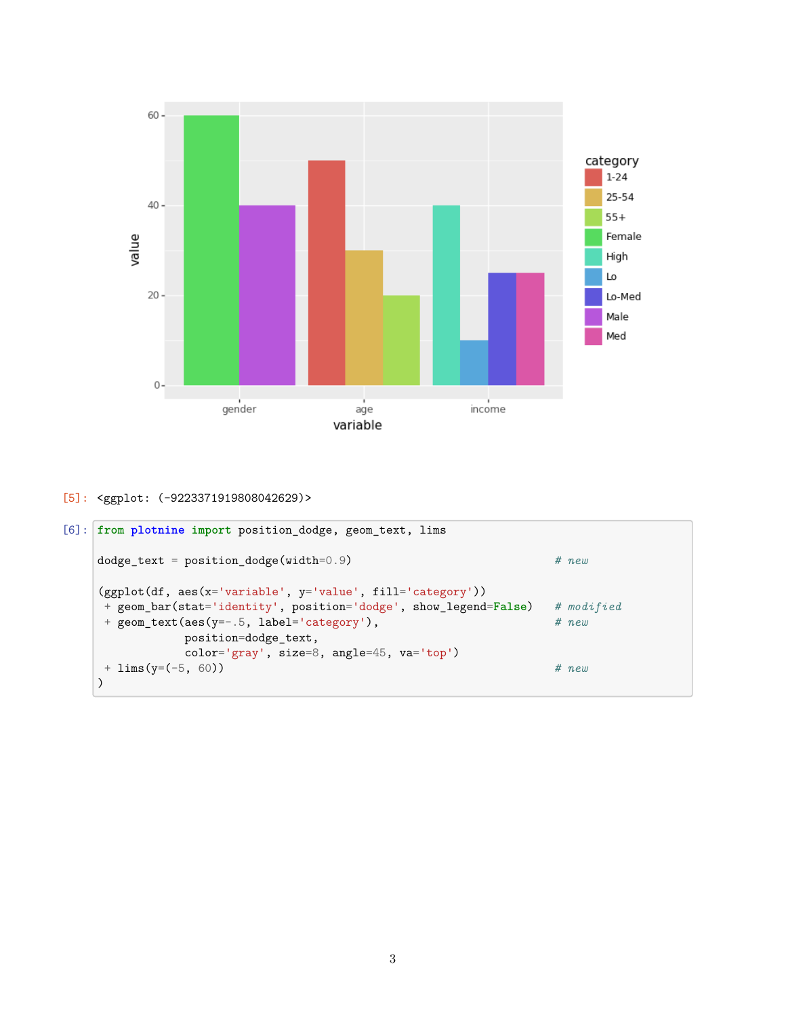

```
[5]: <ggplot: (-9223371919808042629)>
```

```
[6]: from plotnine import position_dodge, geom_text, lims
    dodge_text = position_dodge(width=0.9) # new
    (ggplot(df, aes(x='variable', y='value', fill='category'))
    + geom_bar(stat='identity', position='dodge', show_legend=False) # modified
    + geom_text(aes(y = -. 5, label = 'category'),
               position=dodge_text,
               color='gray', size=8, angle=45, va='top')
    + lims(y=(-5, 60)) # new
    )
```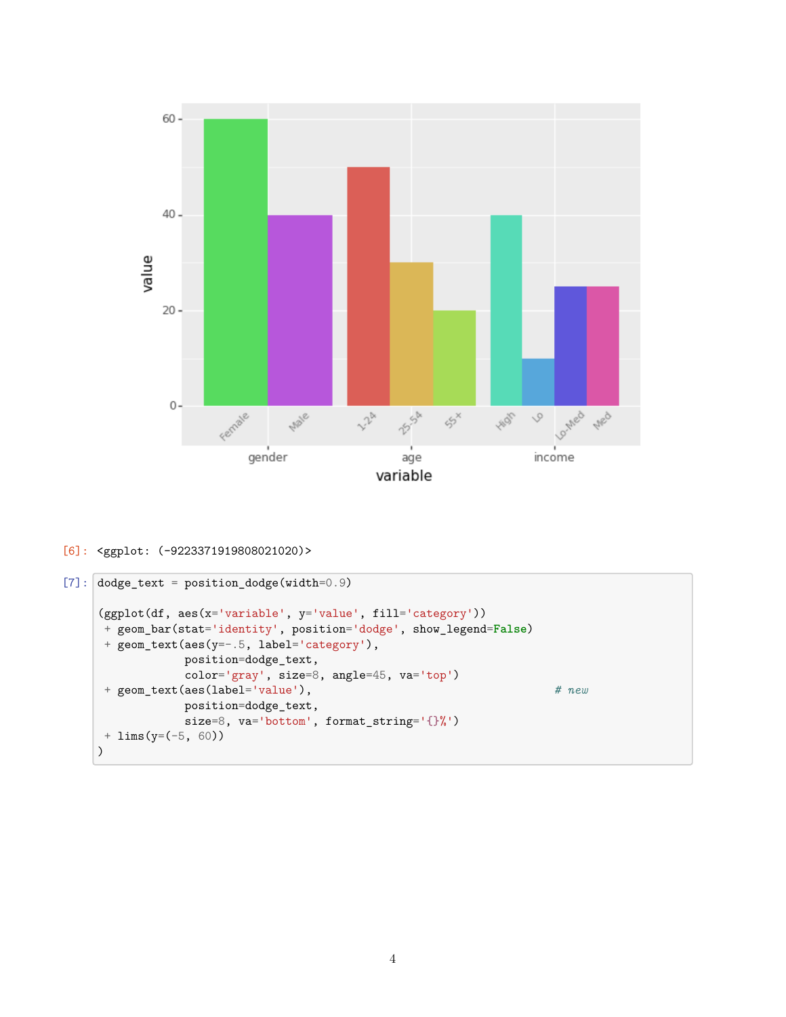

#### [6]: <ggplot: (-9223371919808021020)>

```
[7]: dodge_text = position_dodge(width=0.9)
     (ggplot(df, aes(x='variable', y='value', fill='category'))
     + geom_bar(stat='identity', position='dodge', show_legend=False)
     + geom_text(aes(y=-.5, label='category'),
                position=dodge_text,
                color='gray', size=8, angle=45, va='top')
     + geom_text(aes(label='value'), # new
                position=dodge_text,
                size=8, va='bottom', format_string='{}%')
     + lims(y=(-5, 60))
    )
```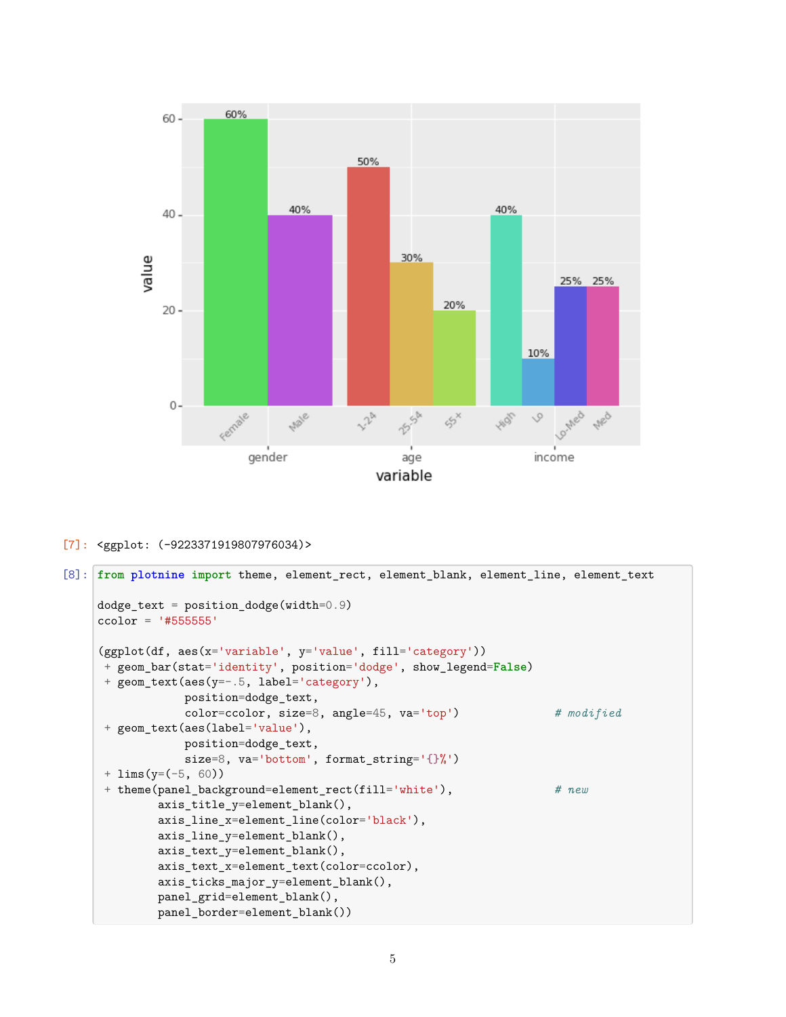

```
[7]: <ggplot: (-9223371919807976034)>
```

```
[8]: from plotnine import theme, element_rect, element_blank, element_line, element_text
     dodge_text = position_dodge(width=0.9)
     ccolor = '#555555'
     (ggplot(df, aes(x='variable', y='value', fill='category'))
     + geom_bar(stat='identity', position='dodge', show_legend=False)
     + geom_text(aes(y=-.5, label='category'),
                 position=dodge_text,
                 color=ccolor, size=8, angle=45, va='top') # modified
      + geom_text(aes(label='value'),
                 position=dodge_text,
                 size=8, va='bottom', format_string='{}%')
      + lims(y=(-5, 60))
      + theme(panel_background=element_rect(fill='white'), # new
             axis_title_y=element_blank(),
             axis_line_x=element_line(color='black'),
             axis_line_y=element_blank(),
             axis_text_y=element_blank(),
             axis_text_x=element_text(color=ccolor),
             axis_ticks_major_y=element_blank(),
             panel_grid=element_blank(),
             panel_border=element_blank())
```